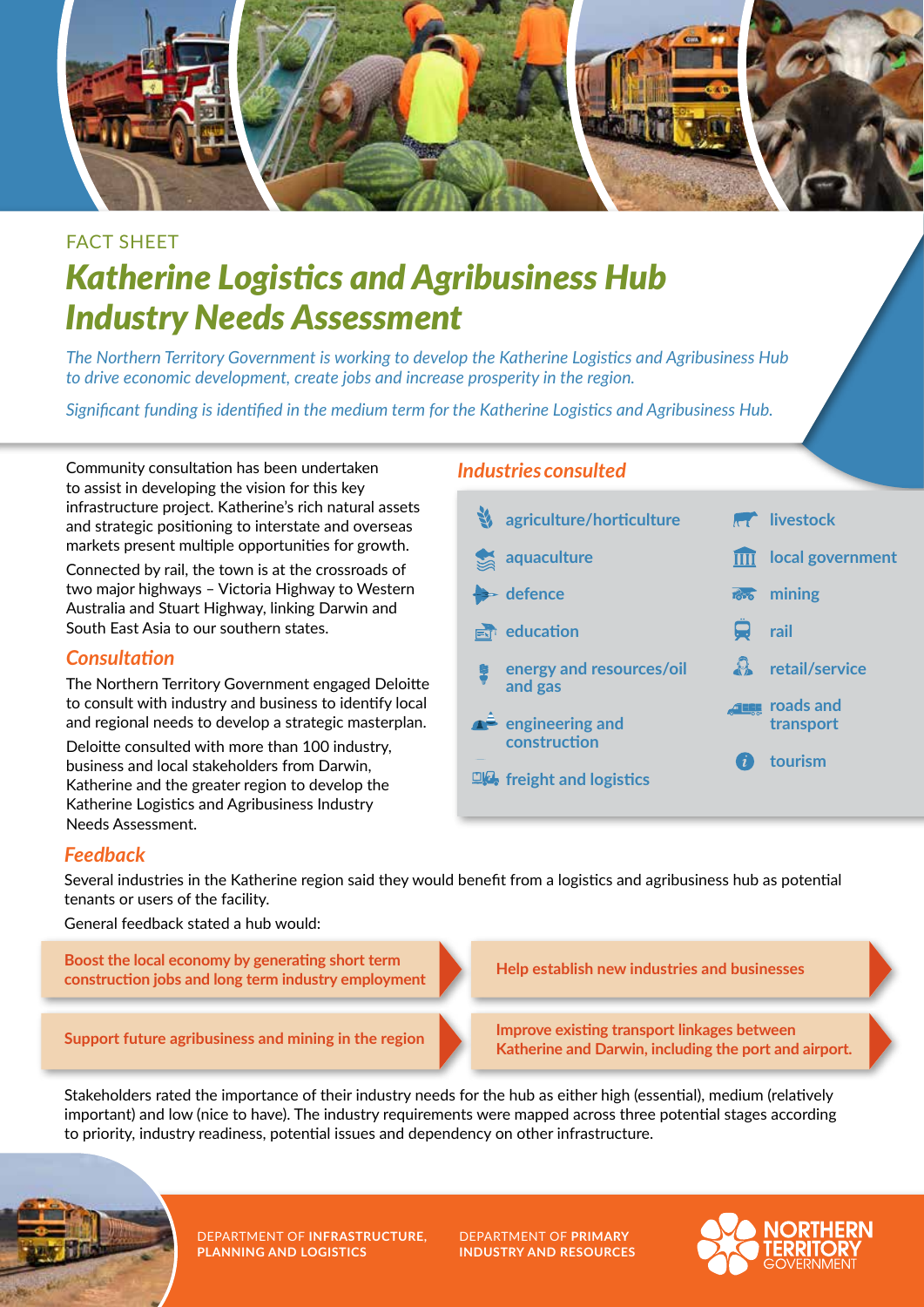

# FACT SHEET *Katherine Logistics and Agribusiness Hub Industry Needs Assessment*

*The Northern Territory Government is working to develop the Katherine Logistics and Agribusiness Hub to drive economic development, create jobs and increase prosperity in the region.* 

*Significant funding is identified in the medium term for the Katherine Logistics and Agribusiness Hub.*

Community consultation has been undertaken to assist in developing the vision for this key infrastructure project. Katherine's rich natural assets and strategic positioning to interstate and overseas markets present multiple opportunities for growth.

Connected by rail, the town is at the crossroads of two major highways – Victoria Highway to Western Australia and Stuart Highway, linking Darwin and South East Asia to our southern states.

#### *Consultation*

The Northern Territory Government engaged Deloitte to consult with industry and business to identify local and regional needs to develop a strategic masterplan.

Deloitte consulted with more than 100 industry, business and local stakeholders from Darwin, Katherine and the greater region to develop the Katherine Logistics and Agribusiness Industry Needs Assessment.

### *Industries consulted*

| agriculture/horticulture                    |              | <b>AT livestock</b>                |
|---------------------------------------------|--------------|------------------------------------|
| aquaculture                                 |              | local government                   |
| $\blacktriangleright$ defence               | <b>Toro</b>  | mining                             |
| education                                   | <b>n</b>     | rail                               |
| energy and resources/oil<br>and gas         |              | <b>A</b> retail/service            |
| $\triangle$ engineering and<br>construction |              | <b>ALLE</b> roads and<br>transport |
| $\Box A$ freight and logistics              | $\mathbf{r}$ | tourism                            |
|                                             |              |                                    |

## *Feedback*

Several industries in the Katherine region said they would benefit from a logistics and agribusiness hub as potential tenants or users of the facility.

General feedback stated a hub would:

**Boost the local economy by generating short term construction jobs and long term industry employment**

**Support future agribusiness and mining in the region**

**Help establish new industries and businesses**

**Improve existing transport linkages between Katherine and Darwin, including the port and airport.**

Stakeholders rated the importance of their industry needs for the hub as either high (essential), medium (relatively important) and low (nice to have). The industry requirements were mapped across three potential stages according to priority, industry readiness, potential issues and dependency on other infrastructure.



DEPARTMENT OF **INFRASTRUCTURE, PLANNING AND LOGISTICS**

DEPARTMENT OF **PRIMARY INDUSTRY AND RESOURCES**